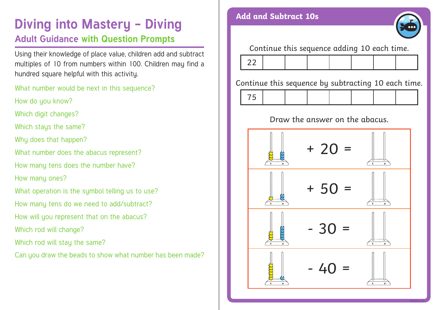## **Diving into Mastery - Diving and Subtract 10s Adult Guidance with Question Prompts**

Using their knowledge of place value, children add and subtract multiples of 10 from numbers within 100. Children may find a hundred square helpful with this activity.

What number would be next in this sequence?

How do you know?

Which digit changes?

Which stays the same?

Why does that happen?

What number does the abacus represent?

How many tens does the number have?

How many ones?

What operation is the sumbol telling us to use?

How many tens do we need to add/subtract?

How will you represent that on the abacus?

Which rod will change?

Which rod will stay the same?

Can you draw the beads to show what number has been made?



Continue this sequence adding 10 each time.



Continue this sequence by subtracting 10 each time.

75



### Draw the answer on the abacus.

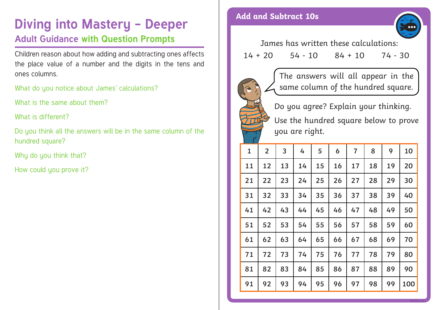# **Diving into Mastery - Deeper** Add and Subtract 10s **Adult Guidance with Question Prompts**

Children reason about how adding and subtracting ones affects the place value of a number and the digits in the tens and ones columns.

What do you notice about James' calculations?

What is the same about them?

What is different?

Do you think all the answers will be in the same column of the hundred square?

Why do you think that?

How could you prove it?



James has written these calculations:  $14 + 20$   $54 - 10$   $84 + 10$   $74 - 30$ 



The answers will all appear in the same column of the hundred square.

Do you agree? Explain your thinking. Use the hundred square below to prove you are right.

| $\mathbf{1}$ | $\overline{2}$ | 3  | 4  | 5  | 6         | $\overline{7}$ | 8  | 9  | 10  |
|--------------|----------------|----|----|----|-----------|----------------|----|----|-----|
| 11           | 12             | 13 | 14 | 15 | <b>16</b> | 17             | 18 | 19 | 20  |
| 21           | 22             | 23 | 24 | 25 | 26        | 27             | 28 | 29 | 30  |
| 31           | 32             | 33 | 34 | 35 | 36        | 37             | 38 | 39 | 40  |
| 41           | 42             | 43 | 44 | 45 | 46        | 47             | 48 | 49 | 50  |
| 51           | 52             | 53 | 54 | 55 | 56        | 57             | 58 | 59 | 60  |
| 61           | 62             | 63 | 64 | 65 | 66        | 67             | 68 | 69 | 70  |
| 71           | 72             | 73 | 74 | 75 | 76        | 77             | 78 | 79 | 80  |
| 81           | 82             | 83 | 84 | 85 | 86        | 87             | 88 | 89 | 90  |
| 91           | 92             | 93 | 94 | 95 | 96        | 97             | 98 | 99 | 100 |